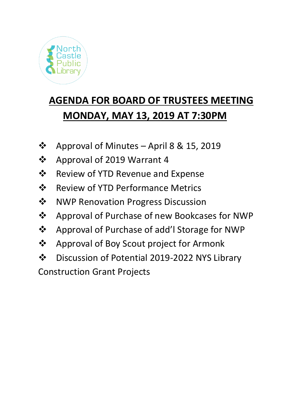

## **AGENDA FOR BOARD OF TRUSTEES MEETING MONDAY, MAY 13, 2019 AT 7:30PM**

- ❖ Approval of Minutes April 8 & 15, 2019
- ❖ Approval of 2019 Warrant 4
- ❖ Review of YTD Revenue and Expense
- ❖ Review of YTD Performance Metrics
- ❖ NWP Renovation Progress Discussion
- ❖ Approval of Purchase of new Bookcases for NWP
- ❖ Approval of Purchase of add'l Storage for NWP
- ❖ Approval of Boy Scout project for Armonk
- ❖ Discussion of Potential 2019-2022 NYS Library
- Construction Grant Projects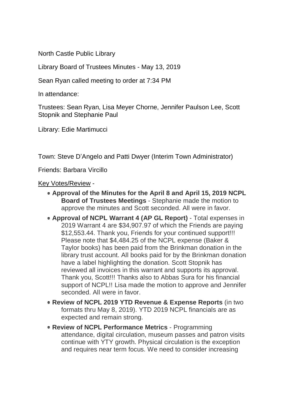North Castle Public Library

Library Board of Trustees Minutes - May 13, 2019

Sean Ryan called meeting to order at 7:34 PM

In attendance:

Trustees: Sean Ryan, Lisa Meyer Chorne, Jennifer Paulson Lee, Scott Stopnik and Stephanie Paul

Library: Edie Martimucci

Town: Steve D'Angelo and Patti Dwyer (Interim Town Administrator)

Friends: Barbara Vircillo

Key Votes/Review -

- **Approval of the Minutes for the April 8 and April 15, 2019 NCPL Board of Trustees Meetings** - Stephanie made the motion to approve the minutes and Scott seconded. All were in favor.
- **Approval of NCPL Warrant 4 (AP GL Report)** Total expenses in 2019 Warrant 4 are \$34,907.97 of which the Friends are paying \$12,553.44. Thank you, Friends for your continued support!!! Please note that \$4,484.25 of the NCPL expense (Baker & Taylor books) has been paid from the Brinkman donation in the library trust account. All books paid for by the Brinkman donation have a label highlighting the donation. Scott Stopnik has reviewed all invoices in this warrant and supports its approval. Thank you, Scott!!! Thanks also to Abbas Sura for his financial support of NCPL!! Lisa made the motion to approve and Jennifer seconded. All were in favor.
- **Review of NCPL 2019 YTD Revenue & Expense Reports** (in two formats thru May 8, 2019). YTD 2019 NCPL financials are as expected and remain strong.
- **Review of NCPL Performance Metrics** Programming attendance, digital circulation, museum passes and patron visits continue with YTY growth. Physical circulation is the exception and requires near term focus. We need to consider increasing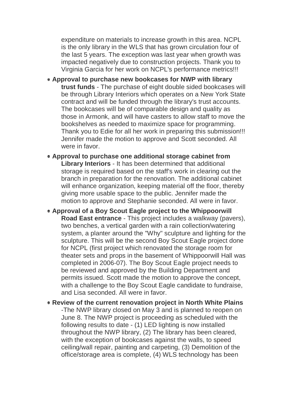expenditure on materials to increase growth in this area. NCPL is the only library in the WLS that has grown circulation four of the last 5 years. The exception was last year when growth was impacted negatively due to construction projects. Thank you to Virginia Garcia for her work on NCPL's performance metrics!!!

- **Approval to purchase new bookcases for NWP with library trust funds** - The purchase of eight double sided bookcases will be through Library Interiors which operates on a New York State contract and will be funded through the library's trust accounts. The bookcases will be of comparable design and quality as those in Armonk, and will have casters to allow staff to move the bookshelves as needed to maximize space for programming. Thank you to Edie for all her work in preparing this submission!!! Jennifer made the motion to approve and Scott seconded. All were in favor.
- **Approval to purchase one additional storage cabinet from Library Interiors** - It has been determined that additional storage is required based on the staff's work in clearing out the branch in preparation for the renovation. The additional cabinet will enhance organization, keeping material off the floor, thereby giving more usable space to the public. Jennifer made the motion to approve and Stephanie seconded. All were in favor.
- **Approval of a Boy Scout Eagle project to the Whippoorwill Road East entrance** - This project includes a walkway (pavers), two benches, a vertical garden with a rain collection/watering system, a planter around the "Why" sculpture and lighting for the sculpture. This will be the second Boy Scout Eagle project done for NCPL (first project which renovated the storage room for theater sets and props in the basement of Whippoorwill Hall was completed in 2006-07). The Boy Scout Eagle project needs to be reviewed and approved by the Building Department and permits issued. Scott made the motion to approve the concept, with a challenge to the Boy Scout Eagle candidate to fundraise, and Lisa seconded. All were in favor.
- **Review of the current renovation project in North White Plains** -The NWP library closed on May 3 and is planned to reopen on June 8. The NWP project is proceeding as scheduled with the following results to date - (1) LED lighting is now installed throughout the NWP library, (2) The library has been cleared, with the exception of bookcases against the walls, to speed ceiling/wall repair, painting and carpeting, (3) Demolition of the office/storage area is complete, (4) WLS technology has been